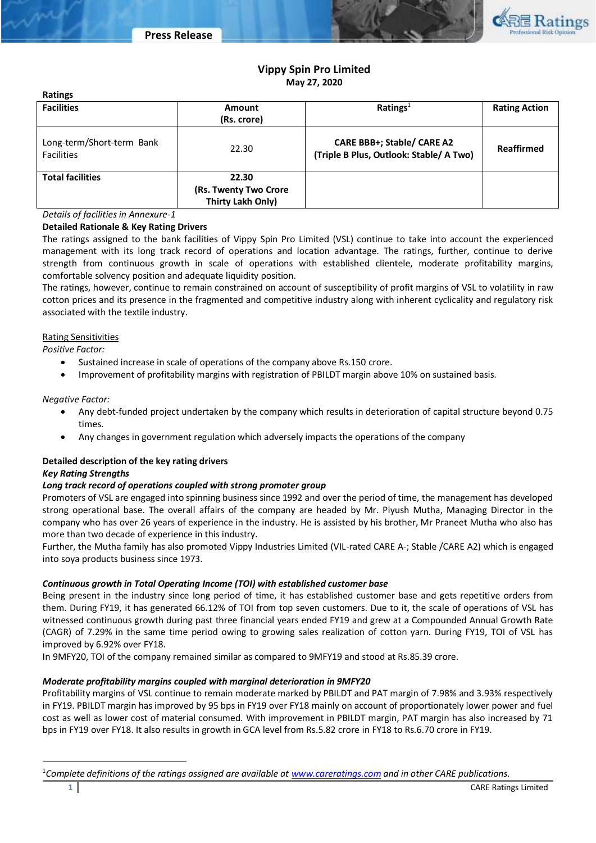

# **Vippy Spin Pro Limited May 27, 2020**

| <b>Ratings</b>                                          |                                                     |                                                                              |                      |  |
|---------------------------------------------------------|-----------------------------------------------------|------------------------------------------------------------------------------|----------------------|--|
| <b>Facilities</b>                                       | <b>Amount</b>                                       | Ratings <sup>1</sup>                                                         | <b>Rating Action</b> |  |
|                                                         | (Rs. crore)                                         |                                                                              |                      |  |
| Long-term/Short-term Bank<br>22.30<br><b>Facilities</b> |                                                     | <b>CARE BBB+; Stable/ CARE A2</b><br>(Triple B Plus, Outlook: Stable/ A Two) | Reaffirmed           |  |
| <b>Total facilities</b>                                 | 22.30<br>(Rs. Twenty Two Crore<br>Thirty Lakh Only) |                                                                              |                      |  |

*Details of facilities in Annexure-1*

## **Detailed Rationale & Key Rating Drivers**

The ratings assigned to the bank facilities of Vippy Spin Pro Limited (VSL) continue to take into account the experienced management with its long track record of operations and location advantage. The ratings, further, continue to derive strength from continuous growth in scale of operations with established clientele, moderate profitability margins, comfortable solvency position and adequate liquidity position.

The ratings, however, continue to remain constrained on account of susceptibility of profit margins of VSL to volatility in raw cotton prices and its presence in the fragmented and competitive industry along with inherent cyclicality and regulatory risk associated with the textile industry.

## Rating Sensitivities

*Positive Factor:*

- Sustained increase in scale of operations of the company above Rs.150 crore.
- Improvement of profitability margins with registration of PBILDT margin above 10% on sustained basis.

## *Negative Factor:*

- Any debt-funded project undertaken by the company which results in deterioration of capital structure beyond 0.75 times.
- Any changes in government regulation which adversely impacts the operations of the company

# **Detailed description of the key rating drivers**

## *Key Rating Strengths*

## *Long track record of operations coupled with strong promoter group*

Promoters of VSL are engaged into spinning business since 1992 and over the period of time, the management has developed strong operational base. The overall affairs of the company are headed by Mr. Piyush Mutha, Managing Director in the company who has over 26 years of experience in the industry. He is assisted by his brother, Mr Praneet Mutha who also has more than two decade of experience in this industry.

Further, the Mutha family has also promoted Vippy Industries Limited (VIL-rated CARE A-; Stable /CARE A2) which is engaged into soya products business since 1973.

## *Continuous growth in Total Operating Income (TOI) with established customer base*

Being present in the industry since long period of time, it has established customer base and gets repetitive orders from them. During FY19, it has generated 66.12% of TOI from top seven customers. Due to it, the scale of operations of VSL has witnessed continuous growth during past three financial years ended FY19 and grew at a Compounded Annual Growth Rate (CAGR) of 7.29% in the same time period owing to growing sales realization of cotton yarn. During FY19, TOI of VSL has improved by 6.92% over FY18.

In 9MFY20, TOI of the company remained similar as compared to 9MFY19 and stood at Rs.85.39 crore.

## *Moderate profitability margins coupled with marginal deterioration in 9MFY20*

Profitability margins of VSL continue to remain moderate marked by PBILDT and PAT margin of 7.98% and 3.93% respectively in FY19. PBILDT margin has improved by 95 bps in FY19 over FY18 mainly on account of proportionately lower power and fuel cost as well as lower cost of material consumed. With improvement in PBILDT margin, PAT margin has also increased by 71 bps in FY19 over FY18. It also results in growth in GCA level from Rs.5.82 crore in FY18 to Rs.6.70 crore in FY19.

 $\overline{\phantom{a}}$ 

<sup>1</sup>*Complete definitions of the ratings assigned are available at [www.careratings.com](http://www.careratings.com/) and in other CARE publications.*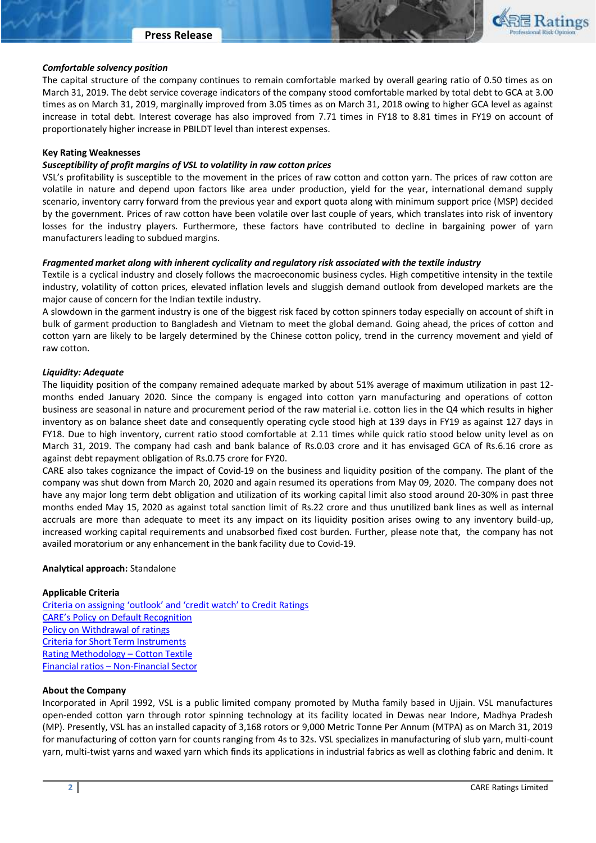

# *Comfortable solvency position*

The capital structure of the company continues to remain comfortable marked by overall gearing ratio of 0.50 times as on March 31, 2019. The debt service coverage indicators of the company stood comfortable marked by total debt to GCA at 3.00 times as on March 31, 2019, marginally improved from 3.05 times as on March 31, 2018 owing to higher GCA level as against increase in total debt. Interest coverage has also improved from 7.71 times in FY18 to 8.81 times in FY19 on account of proportionately higher increase in PBILDT level than interest expenses.

#### **Key Rating Weaknesses**

# *Susceptibility of profit margins of VSL to volatility in raw cotton prices*

VSL's profitability is susceptible to the movement in the prices of raw cotton and cotton yarn. The prices of raw cotton are volatile in nature and depend upon factors like area under production, yield for the year, international demand supply scenario, inventory carry forward from the previous year and export quota along with minimum support price (MSP) decided by the government. Prices of raw cotton have been volatile over last couple of years, which translates into risk of inventory losses for the industry players. Furthermore, these factors have contributed to decline in bargaining power of yarn manufacturers leading to subdued margins.

# *Fragmented market along with inherent cyclicality and regulatory risk associated with the textile industry*

Textile is a cyclical industry and closely follows the macroeconomic business cycles. High competitive intensity in the textile industry, volatility of cotton prices, elevated inflation levels and sluggish demand outlook from developed markets are the major cause of concern for the Indian textile industry.

A slowdown in the garment industry is one of the biggest risk faced by cotton spinners today especially on account of shift in bulk of garment production to Bangladesh and Vietnam to meet the global demand. Going ahead, the prices of cotton and cotton yarn are likely to be largely determined by the Chinese cotton policy, trend in the currency movement and yield of raw cotton.

#### *Liquidity: Adequate*

The liquidity position of the company remained adequate marked by about 51% average of maximum utilization in past 12 months ended January 2020. Since the company is engaged into cotton yarn manufacturing and operations of cotton business are seasonal in nature and procurement period of the raw material i.e. cotton lies in the Q4 which results in higher inventory as on balance sheet date and consequently operating cycle stood high at 139 days in FY19 as against 127 days in FY18. Due to high inventory, current ratio stood comfortable at 2.11 times while quick ratio stood below unity level as on March 31, 2019. The company had cash and bank balance of Rs.0.03 crore and it has envisaged GCA of Rs.6.16 crore as against debt repayment obligation of Rs.0.75 crore for FY20.

CARE also takes cognizance the impact of Covid-19 on the business and liquidity position of the company. The plant of the company was shut down from March 20, 2020 and again resumed its operations from May 09, 2020. The company does not have any major long term debt obligation and utilization of its working capital limit also stood around 20-30% in past three months ended May 15, 2020 as against total sanction limit of Rs.22 crore and thus unutilized bank lines as well as internal accruals are more than adequate to meet its any impact on its liquidity position arises owing to any inventory build-up, increased working capital requirements and unabsorbed fixed cost burden. Further, please note that, the company has not availed moratorium or any enhancement in the bank facility due to Covid-19.

## **Analytical approach:** Standalone

## **Applicable Criteria**

[Criteria on assigning 'outlook' and 'credit watch' to Credit Ratings](http://www.careratings.com/pdf/resources/Rating_Outlook_and_credit_watch_May_2019.pdf) [CARE's Policy on Default Recognition](file:///C:/Users/ayush.khandelwal/AppData/Local/Microsoft/Windows/INetCache/ayush.khandelwal/AppData/Local/Microsoft/Windows/INetCache/Content.Outlook/DHBNWJ2V/Sanction%20Limit%20–%20Fund%20Based%20-Rs.22%20crore,%20Non%20Fund%20based%20–%20Rs0.30%20crore.%20Disbursed%20in%20December%202019.%20Interest%20rate%20–%208.60%25,%20Utilization%20of%20fund%20based%20–%2060-70%25) [Policy on Withdrawal of ratings](http://www.careratings.com/pdf/resources/CARECreditRatingProcess.pdf) [Criteria for Short Term Instruments](http://www.careratings.com/upload/NewsFiles/GetRated/Short%20Term%20Instruments.pdf) [Rating Methodology](http://www.careratings.com/upload/NewsFiles/GetRated/Rating%20Methodology%20_Cotton%20Textile%20Manufacturing_Oct_2019.pdf) – Cotton Textile Financial ratios – [Non-Financial Sector](http://www.careratings.com/pdf/resources/Financial%20ratios%20-%20Non%20Financial%20Sector-Sept2019.pdf)

## **About the Company**

Incorporated in April 1992, VSL is a public limited company promoted by Mutha family based in Ujjain. VSL manufactures open-ended cotton yarn through rotor spinning technology at its facility located in Dewas near Indore, Madhya Pradesh (MP). Presently, VSL has an installed capacity of 3,168 rotors or 9,000 Metric Tonne Per Annum (MTPA) as on March 31, 2019 for manufacturing of cotton yarn for counts ranging from 4s to 32s. VSL specializes in manufacturing of slub yarn, multi-count yarn, multi-twist yarns and waxed yarn which finds its applications in industrial fabrics as well as clothing fabric and denim. It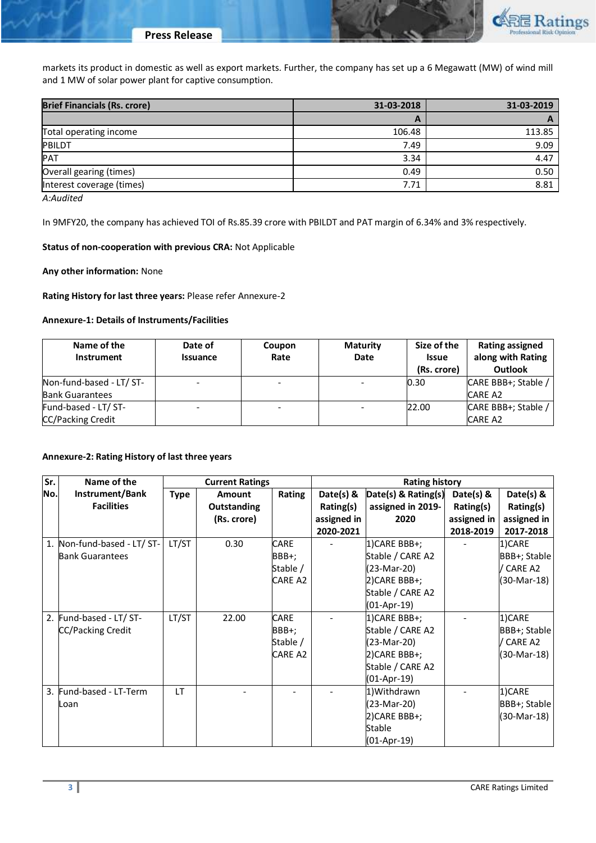markets its product in domestic as well as export markets. Further, the company has set up a 6 Megawatt (MW) of wind mill and 1 MW of solar power plant for captive consumption.

| <b>Brief Financials (Rs. crore)</b> | 31-03-2018 | 31-03-2019 |
|-------------------------------------|------------|------------|
|                                     | A          |            |
| Total operating income              | 106.48     | 113.85     |
| PBILDT                              | 7.49       | 9.09       |
| PAT                                 | 3.34       | 4.47       |
| Overall gearing (times)             | 0.49       | 0.50       |
| Interest coverage (times)           | 7.71       | 8.81       |
|                                     |            |            |

*A:Audited*

In 9MFY20, the company has achieved TOI of Rs.85.39 crore with PBILDT and PAT margin of 6.34% and 3% respectively.

#### **Status of non-cooperation with previous CRA:** Not Applicable

**Any other information:** None

## **Rating History for last three years:** Please refer Annexure-2

#### **Annexure-1: Details of Instruments/Facilities**

| Name of the<br>Instrument | Date of<br><b>Issuance</b> | Coupon<br>Rate | <b>Maturity</b><br>Date | Size of the<br>Issue<br>(Rs. crore) | Rating assigned<br>along with Rating<br><b>Outlook</b> |
|---------------------------|----------------------------|----------------|-------------------------|-------------------------------------|--------------------------------------------------------|
| Non-fund-based - LT/ ST-  |                            |                |                         | 0.30                                | CARE BBB+; Stable /                                    |
| <b>Bank Guarantees</b>    |                            |                |                         |                                     | <b>CARE A2</b>                                         |
| Fund-based - LT/ ST-      |                            |                |                         | 22.00                               | CARE BBB+; Stable /                                    |
| CC/Packing Credit         |                            |                |                         |                                     | <b>CARE A2</b>                                         |

## **Annexure-2: Rating History of last three years**

| Sr. | Name of the                 | <b>Current Ratings</b> |               |                |             | <b>Rating history</b> |             |              |
|-----|-----------------------------|------------------------|---------------|----------------|-------------|-----------------------|-------------|--------------|
| No. | Instrument/Bank             | <b>Type</b>            | <b>Amount</b> | Rating         | Date(s) $8$ | Date(s) & Rating(s)   | Date(s) &   | Date(s) &    |
|     | <b>Facilities</b>           |                        | Outstanding   |                | Rating(s)   | assigned in 2019-     | Rating(s)   | Rating(s)    |
|     |                             |                        | (Rs. crore)   |                | assigned in | 2020                  | assigned in | assigned in  |
|     |                             |                        |               |                | 2020-2021   |                       | 2018-2019   | 2017-2018    |
|     | 1. Non-fund-based - LT/ ST- | LT/ST                  | 0.30          | <b>CARE</b>    |             | 1) CARE BBB+;         |             | 1)CARE       |
|     | <b>Bank Guarantees</b>      |                        |               | BBB+;          |             | Stable / CARE A2      |             | BBB+; Stable |
|     |                             |                        |               | Stable /       |             | (23-Mar-20)           |             | / CARE A2    |
|     |                             |                        |               | <b>CARE A2</b> |             | 2) CARE BBB+;         |             | (30-Mar-18)  |
|     |                             |                        |               |                |             | Stable / CARE A2      |             |              |
|     |                             |                        |               |                |             | (01-Apr-19)           |             |              |
|     | 2. Fund-based - LT/ ST-     | LT/ST                  | 22.00         | <b>CARE</b>    |             | 1) CARE BBB+;         |             | 1)CARE       |
|     | <b>CC/Packing Credit</b>    |                        |               | BBB+;          |             | Stable / CARE A2      |             | BBB+; Stable |
|     |                             |                        |               | Stable /       |             | (23-Mar-20)           |             | CARE A2      |
|     |                             |                        |               | <b>CARE A2</b> |             | 2) CARE BBB+;         |             | (30-Mar-18)  |
|     |                             |                        |               |                |             | Stable / CARE A2      |             |              |
|     |                             |                        |               |                |             | (01-Apr-19)           |             |              |
|     | 3. Fund-based - LT-Term     | <b>LT</b>              |               |                |             | 1) Withdrawn          |             | 1)CARE       |
|     | Loan                        |                        |               |                |             | (23-Mar-20)           |             | BBB+; Stable |
|     |                             |                        |               |                |             | 2) CARE BBB+;         |             | (30-Mar-18)  |
|     |                             |                        |               |                |             | Stable                |             |              |
|     |                             |                        |               |                |             | (01-Apr-19)           |             |              |